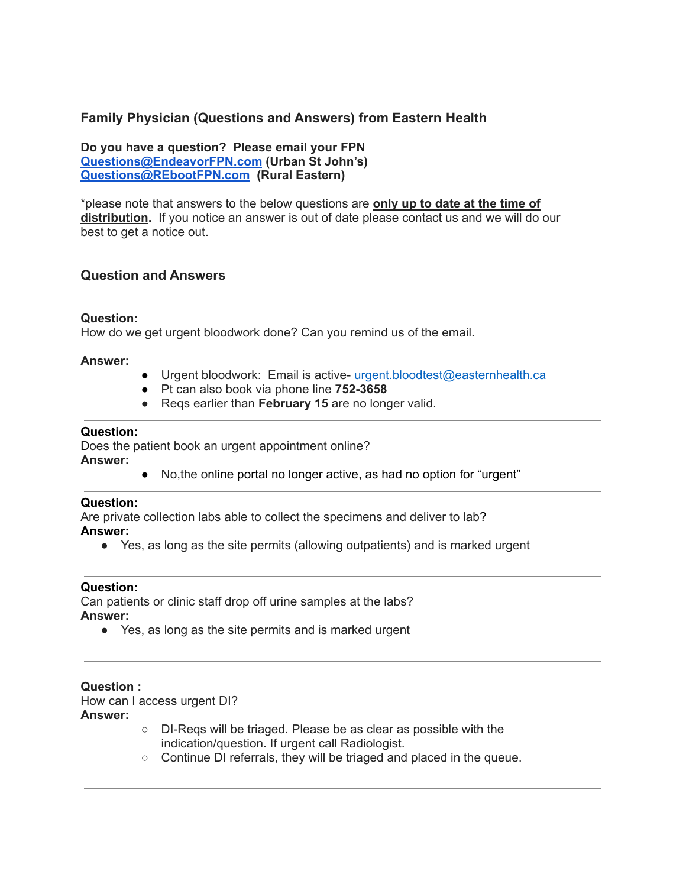# **Family Physician (Questions and Answers) from Eastern Health**

**Do you have a question? Please email your FPN [Questions@EndeavorFPN.com](mailto:Questions@EndeavorFPN.com) (Urban St John's) [Questions@REbootFPN.com](mailto:Questions@REbootFPN.com) (Rural Eastern)**

\*please note that answers to the below questions are **only up to date at the time of distribution.** If you notice an answer is out of date please contact us and we will do our best to get a notice out.

# **Question and Answers**

### **Question:**

How do we get urgent bloodwork done? Can you remind us of the email.

### **Answer:**

- Urgent bloodwork: Email is active- urgent.bloodtest@easternhealth.ca
- Pt can also book via phone line **752-3658**
- **●** Reqs earlier than **February 15** are no longer valid.

### **Question:**

Does the patient book an urgent appointment online? **Answer:**

● No,the online portal no longer active, as had no option for "urgent"

#### **Question:**

Are private collection labs able to collect the specimens and deliver to lab? **Answer:**

● Yes, as long as the site permits (allowing outpatients) and is marked urgent

#### **Question:**

Can patients or clinic staff drop off urine samples at the labs? **Answer:**

● Yes, as long as the site permits and is marked urgent

**Question :** How can I access urgent DI? **Answer:**

- DI-Reqs will be triaged. Please be as clear as possible with the indication/question. If urgent call Radiologist.
- Continue DI referrals, they will be triaged and placed in the queue.